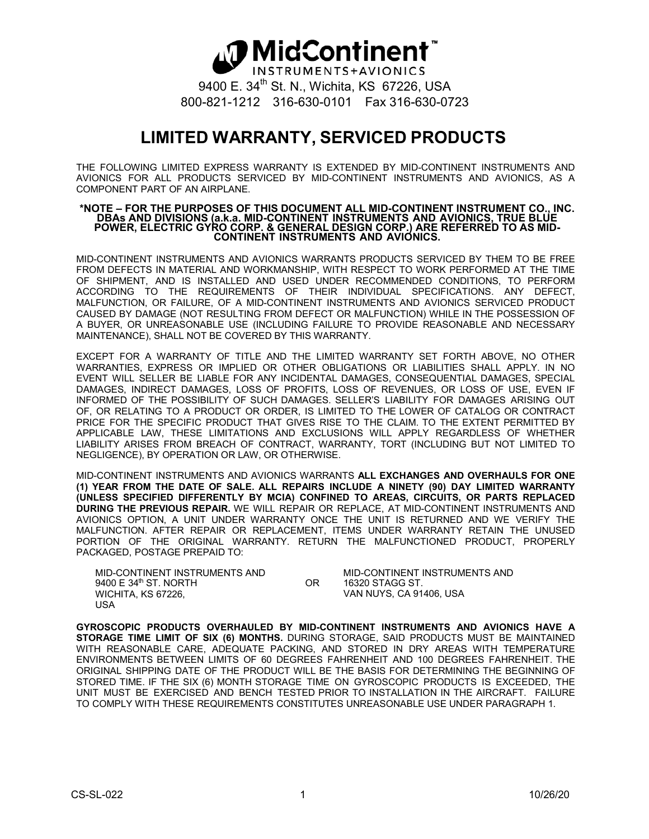## **∆D** MidContinent® INSTRUMENTS+AVIONICS 9400 E. 34<sup>th</sup> St. N., Wichita, KS 67226, USA 800-821-1212 316-630-0101 Fax 316-630-0723

## **LIMITED WARRANTY, SERVICED PRODUCTS**

THE FOLLOWING LIMITED EXPRESS WARRANTY IS EXTENDED BY MID-CONTINENT INSTRUMENTS AND AVIONICS FOR ALL PRODUCTS SERVICED BY MID-CONTINENT INSTRUMENTS AND AVIONICS, AS A COMPONENT PART OF AN AIRPLANE.

## **\*NOTE – FOR THE PURPOSES OF THIS DOCUMENT ALL MID-CONTINENT INSTRUMENT CO., INC. DBAs AND DIVISIONS (a.k.a. MID-CONTINENT INSTRUMENTS AND AVIONICS, TRUE BLUE POWER, ELECTRIC GYRO CORP. & GENERAL DESIGN CORP.) ARE REFERRED TO AS MID-CONTINENT INSTRUMENTS AND AVIONICS.**

MID-CONTINENT INSTRUMENTS AND AVIONICS WARRANTS PRODUCTS SERVICED BY THEM TO BE FREE FROM DEFECTS IN MATERIAL AND WORKMANSHIP, WITH RESPECT TO WORK PERFORMED AT THE TIME OF SHIPMENT, AND IS INSTALLED AND USED UNDER RECOMMENDED CONDITIONS, TO PERFORM ACCORDING TO THE REQUIREMENTS OF THEIR INDIVIDUAL SPECIFICATIONS. ANY DEFECT, MALFUNCTION, OR FAILURE, OF A MID-CONTINENT INSTRUMENTS AND AVIONICS SERVICED PRODUCT CAUSED BY DAMAGE (NOT RESULTING FROM DEFECT OR MALFUNCTION) WHILE IN THE POSSESSION OF A BUYER, OR UNREASONABLE USE (INCLUDING FAILURE TO PROVIDE REASONABLE AND NECESSARY MAINTENANCE), SHALL NOT BE COVERED BY THIS WARRANTY.

EXCEPT FOR A WARRANTY OF TITLE AND THE LIMITED WARRANTY SET FORTH ABOVE, NO OTHER WARRANTIES, EXPRESS OR IMPLIED OR OTHER OBLIGATIONS OR LIABILITIES SHALL APPLY. IN NO EVENT WILL SELLER BE LIABLE FOR ANY INCIDENTAL DAMAGES, CONSEQUENTIAL DAMAGES, SPECIAL DAMAGES, INDIRECT DAMAGES, LOSS OF PROFITS, LOSS OF REVENUES, OR LOSS OF USE, EVEN IF INFORMED OF THE POSSIBILITY OF SUCH DAMAGES. SELLER'S LIABILITY FOR DAMAGES ARISING OUT OF, OR RELATING TO A PRODUCT OR ORDER, IS LIMITED TO THE LOWER OF CATALOG OR CONTRACT PRICE FOR THE SPECIFIC PRODUCT THAT GIVES RISE TO THE CLAIM. TO THE EXTENT PERMITTED BY APPLICABLE LAW, THESE LIMITATIONS AND EXCLUSIONS WILL APPLY REGARDLESS OF WHETHER LIABILITY ARISES FROM BREACH OF CONTRACT, WARRANTY, TORT (INCLUDING BUT NOT LIMITED TO NEGLIGENCE), BY OPERATION OR LAW, OR OTHERWISE.

MID-CONTINENT INSTRUMENTS AND AVIONICS WARRANTS **ALL EXCHANGES AND OVERHAULS FOR ONE (1) YEAR FROM THE DATE OF SALE. ALL REPAIRS INCLUDE A NINETY (90) DAY LIMITED WARRANTY (UNLESS SPECIFIED DIFFERENTLY BY MCIA) CONFINED TO AREAS, CIRCUITS, OR PARTS REPLACED DURING THE PREVIOUS REPAIR.** WE WILL REPAIR OR REPLACE, AT MID-CONTINENT INSTRUMENTS AND AVIONICS OPTION, A UNIT UNDER WARRANTY ONCE THE UNIT IS RETURNED AND WE VERIFY THE MALFUNCTION. AFTER REPAIR OR REPLACEMENT, ITEMS UNDER WARRANTY RETAIN THE UNUSED PORTION OF THE ORIGINAL WARRANTY. RETURN THE MALFUNCTIONED PRODUCT, PROPERLY PACKAGED, POSTAGE PREPAID TO:

| MID-CONTINENT INSTRUMENTS AND<br>9400 E $34th$ ST, NORTH | OR. | MID-CONTINENT INSTRUMENTS AND<br>16320 STAGG ST. |
|----------------------------------------------------------|-----|--------------------------------------------------|
| WICHITA. KS 67226.<br>USA                                |     | VAN NUYS. CA 91406. USA                          |

**GYROSCOPIC PRODUCTS OVERHAULED BY MID-CONTINENT INSTRUMENTS AND AVIONICS HAVE A STORAGE TIME LIMIT OF SIX (6) MONTHS.** DURING STORAGE, SAID PRODUCTS MUST BE MAINTAINED WITH REASONABLE CARE, ADEQUATE PACKING, AND STORED IN DRY AREAS WITH TEMPERATURE ENVIRONMENTS BETWEEN LIMITS OF 60 DEGREES FAHRENHEIT AND 100 DEGREES FAHRENHEIT. THE ORIGINAL SHIPPING DATE OF THE PRODUCT WILL BE THE BASIS FOR DETERMINING THE BEGINNING OF STORED TIME. IF THE SIX (6) MONTH STORAGE TIME ON GYROSCOPIC PRODUCTS IS EXCEEDED, THE UNIT MUST BE EXERCISED AND BENCH TESTED PRIOR TO INSTALLATION IN THE AIRCRAFT. FAILURE TO COMPLY WITH THESE REQUIREMENTS CONSTITUTES UNREASONABLE USE UNDER PARAGRAPH 1.